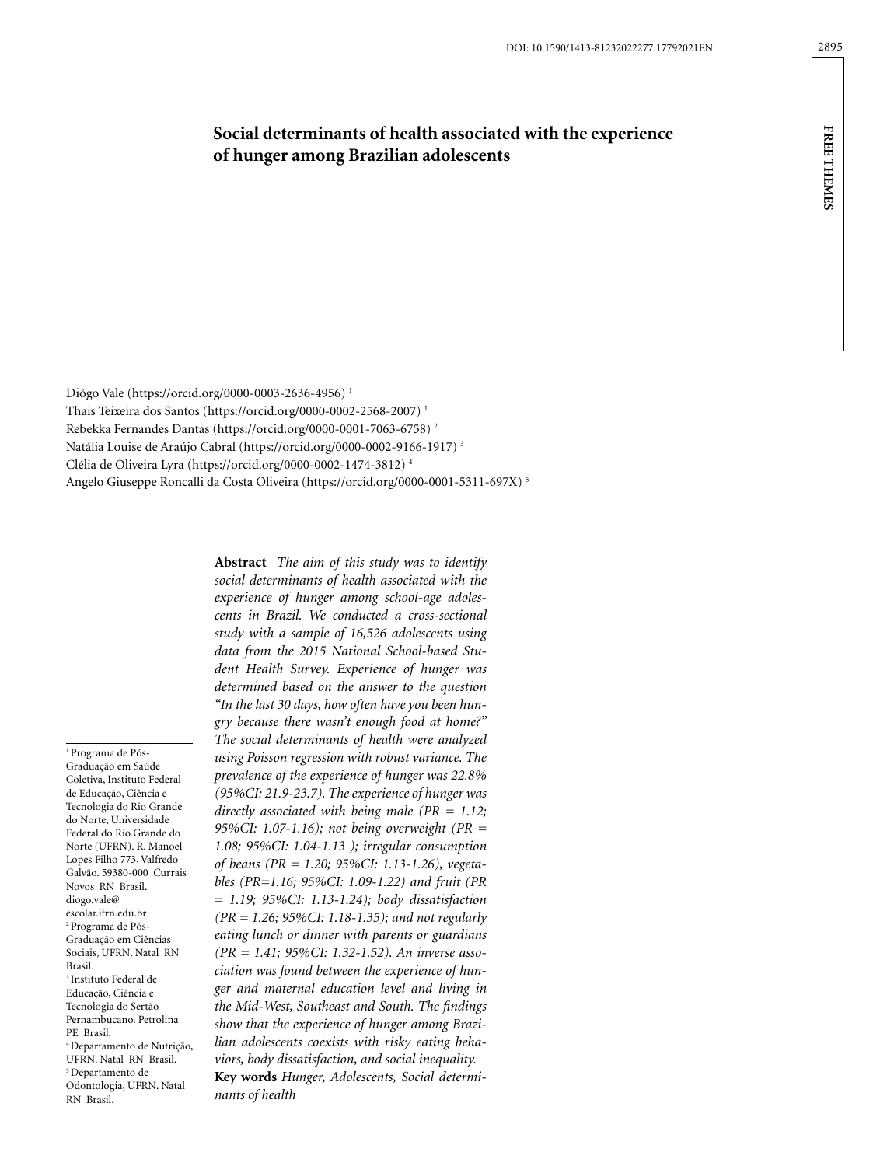# **Social determinants of health associated with the experience of hunger among Brazilian adolescents**

Diôgo Vale (https://orcid.org/0000-0003-2636-4956) 1 Thais Teixeira dos Santos (https://orcid.org/0000-0002-2568-2007) 1 Rebekka Fernandes Dantas (https://orcid.org/0000-0001-7063-6758) 2 Natália Louise de Araújo Cabral (https://orcid.org/0000-0002-9166-1917) 3 Clélia de Oliveira Lyra (https://orcid.org/0000-0002-1474-3812) 4 Angelo Giuseppe Roncalli da Costa Oliveira (https://orcid.org/0000-0001-5311-697X) 5

1 Programa de Pós-Graduação em Saúde Coletiva, Instituto Federal de Educação, Ciência e Tecnologia do Rio Grande do Norte, Universidade Federal do Rio Grande do Norte (UFRN). R. Manoel Lopes Filho 773, Valfredo Galvão. 59380-000 Currais Novos RN Brasil. diogo.vale@ escolar.ifrn.edu.br 2 Programa de Pós-Graduação em Ciências Sociais, UFRN. Natal RN Brasil. 3 Instituto Federal de Educação, Ciência e Tecnologia do Sertão Pernambucano. Petrolina PE Brasil. 4 Departamento de Nutrição, UFRN. Natal RN Brasil. 5 Departamento de Odontologia, UFRN. Natal RN Brasil.

**Abstract** *The aim of this study was to identify social determinants of health associated with the experience of hunger among school-age adolescents in Brazil. We conducted a cross-sectional study with a sample of 16,526 adolescents using data from the 2015 National School-based Student Health Survey. Experience of hunger was determined based on the answer to the question "In the last 30 days, how often have you been hungry because there wasn't enough food at home?" The social determinants of health were analyzed using Poisson regression with robust variance. The prevalence of the experience of hunger was 22.8% (95%CI: 21.9-23.7). The experience of hunger was directly associated with being male (PR = 1.12; 95%CI: 1.07-1.16); not being overweight (PR = 1.08; 95%CI: 1.04-1.13 ); irregular consumption of beans (PR = 1.20; 95%CI: 1.13-1.26), vegetables (PR=1.16; 95%CI: 1.09-1.22) and fruit (PR = 1.19; 95%CI: 1.13-1.24); body dissatisfaction (PR = 1.26; 95%CI: 1.18-1.35); and not regularly eating lunch or dinner with parents or guardians (PR = 1.41; 95%CI: 1.32-1.52). An inverse association was found between the experience of hunger and maternal education level and living in the Mid-West, Southeast and South. The findings show that the experience of hunger among Brazilian adolescents coexists with risky eating behaviors, body dissatisfaction, and social inequality.*

**Key words** *Hunger, Adolescents, Social determinants of health*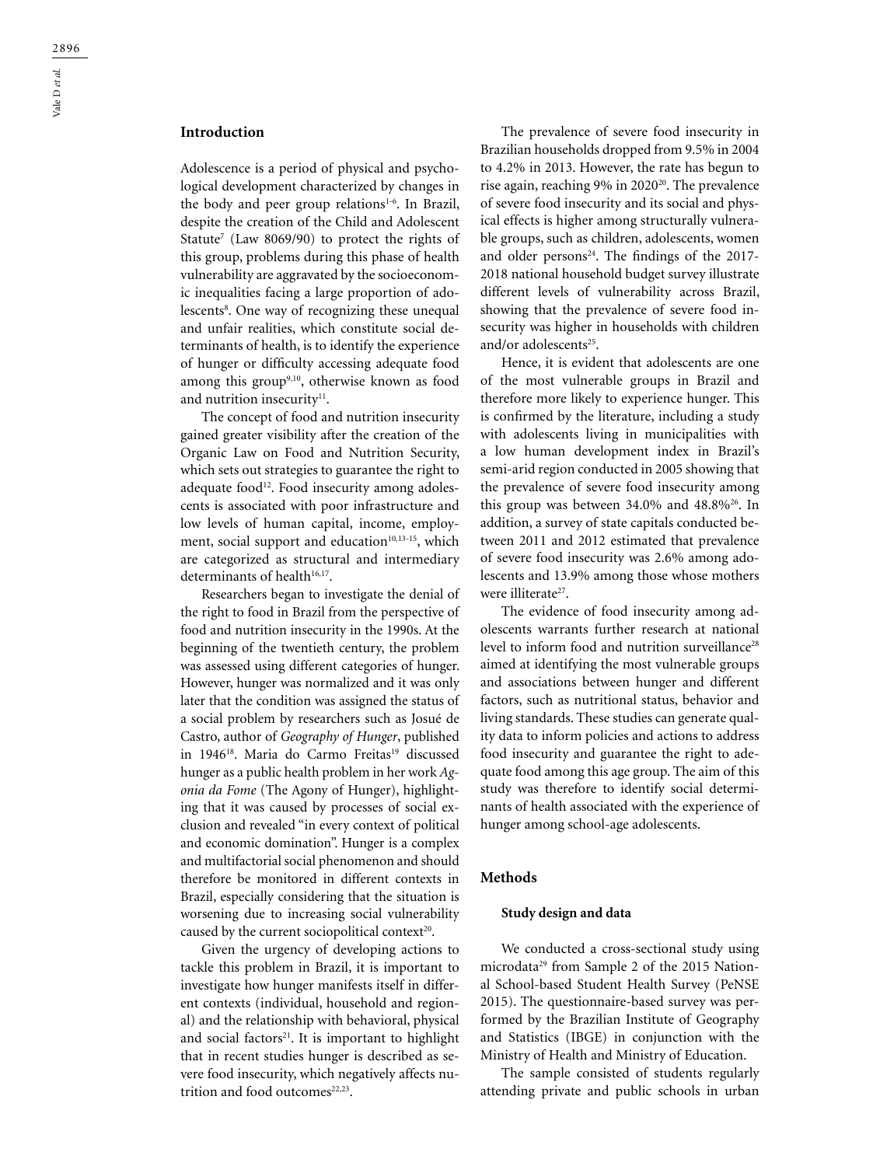## **Introduction**

Adolescence is a period of physical and psychological development characterized by changes in the body and peer group relations<sup>1-6</sup>. In Brazil, despite the creation of the Child and Adolescent Statute<sup>7</sup> (Law 8069/90) to protect the rights of this group, problems during this phase of health vulnerability are aggravated by the socioeconomic inequalities facing a large proportion of adolescents<sup>8</sup>. One way of recognizing these unequal and unfair realities, which constitute social determinants of health, is to identify the experience of hunger or difficulty accessing adequate food among this group<sup>9,10</sup>, otherwise known as food and nutrition insecurity<sup>11</sup>.

The concept of food and nutrition insecurity gained greater visibility after the creation of the Organic Law on Food and Nutrition Security, which sets out strategies to guarantee the right to adequate food<sup>12</sup>. Food insecurity among adolescents is associated with poor infrastructure and low levels of human capital, income, employment, social support and education $10,13-15$ , which are categorized as structural and intermediary determinants of health<sup>16,17</sup>.

Researchers began to investigate the denial of the right to food in Brazil from the perspective of food and nutrition insecurity in the 1990s. At the beginning of the twentieth century, the problem was assessed using different categories of hunger. However, hunger was normalized and it was only later that the condition was assigned the status of a social problem by researchers such as Josué de Castro, author of *Geography of Hunger*, published in 1946<sup>18</sup>. Maria do Carmo Freitas<sup>19</sup> discussed hunger as a public health problem in her work *Agonia da Fome* (The Agony of Hunger), highlighting that it was caused by processes of social exclusion and revealed "in every context of political and economic domination". Hunger is a complex and multifactorial social phenomenon and should therefore be monitored in different contexts in Brazil, especially considering that the situation is worsening due to increasing social vulnerability caused by the current sociopolitical context $2^{20}$ .

Given the urgency of developing actions to tackle this problem in Brazil, it is important to investigate how hunger manifests itself in different contexts (individual, household and regional) and the relationship with behavioral, physical and social factors $21$ . It is important to highlight that in recent studies hunger is described as severe food insecurity, which negatively affects nutrition and food outcomes<sup>22,23</sup>.

The prevalence of severe food insecurity in Brazilian households dropped from 9.5% in 2004 to 4.2% in 2013. However, the rate has begun to rise again, reaching 9% in 2020<sup>20</sup>. The prevalence of severe food insecurity and its social and physical effects is higher among structurally vulnerable groups, such as children, adolescents, women and older persons $24$ . The findings of the 2017-2018 national household budget survey illustrate different levels of vulnerability across Brazil, showing that the prevalence of severe food insecurity was higher in households with children and/or adolescents<sup>25</sup>.

Hence, it is evident that adolescents are one of the most vulnerable groups in Brazil and therefore more likely to experience hunger. This is confirmed by the literature, including a study with adolescents living in municipalities with a low human development index in Brazil's semi-arid region conducted in 2005 showing that the prevalence of severe food insecurity among this group was between  $34.0\%$  and  $48.8\%$ <sup>26</sup>. In addition, a survey of state capitals conducted between 2011 and 2012 estimated that prevalence of severe food insecurity was 2.6% among adolescents and 13.9% among those whose mothers were illiterate<sup>27</sup>.

The evidence of food insecurity among adolescents warrants further research at national level to inform food and nutrition surveillance<sup>28</sup> aimed at identifying the most vulnerable groups and associations between hunger and different factors, such as nutritional status, behavior and living standards. These studies can generate quality data to inform policies and actions to address food insecurity and guarantee the right to adequate food among this age group. The aim of this study was therefore to identify social determinants of health associated with the experience of hunger among school-age adolescents.

## **Methods**

#### **Study design and data**

We conducted a cross-sectional study using microdata<sup>29</sup> from Sample 2 of the 2015 National School-based Student Health Survey (PeNSE 2015). The questionnaire-based survey was performed by the Brazilian Institute of Geography and Statistics (IBGE) in conjunction with the Ministry of Health and Ministry of Education.

The sample consisted of students regularly attending private and public schools in urban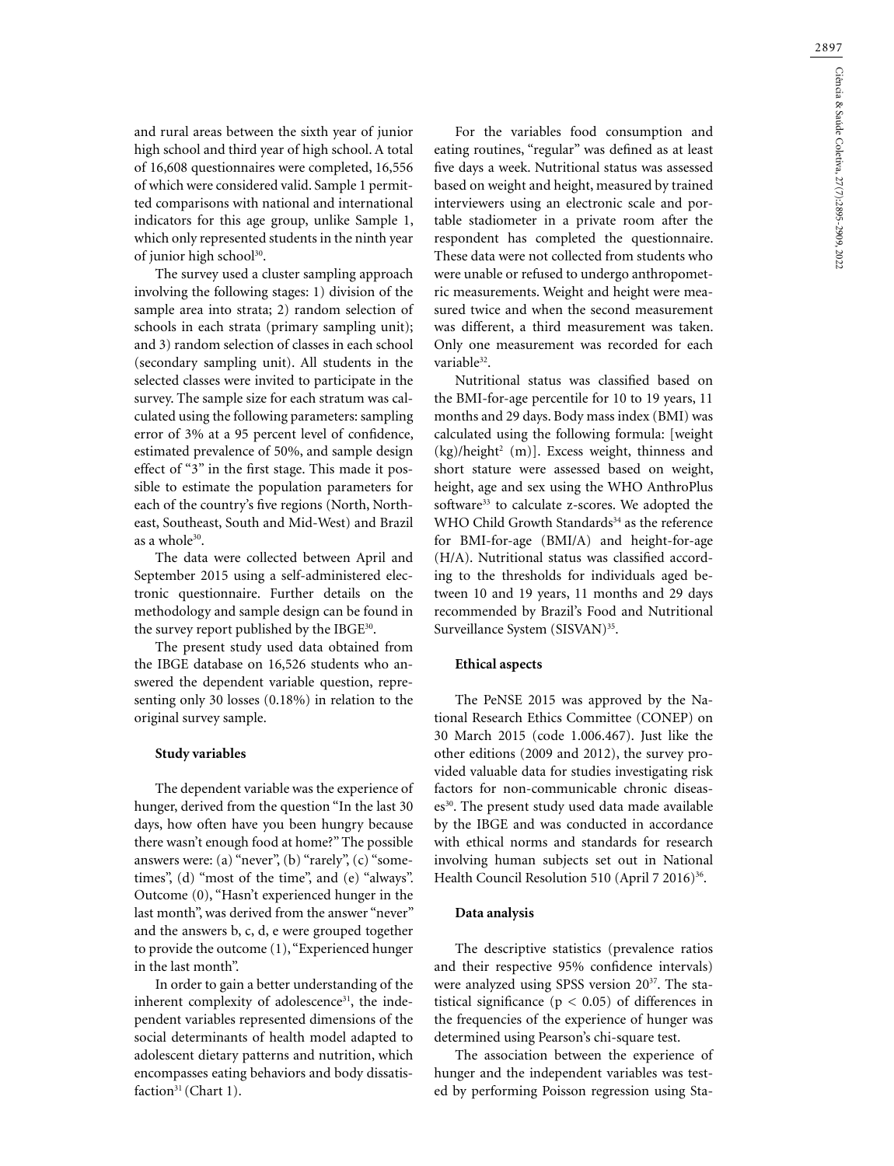2897

and rural areas between the sixth year of junior high school and third year of high school. A total of 16,608 questionnaires were completed, 16,556 of which were considered valid. Sample 1 permitted comparisons with national and international indicators for this age group, unlike Sample 1, which only represented students in the ninth year of junior high school<sup>30</sup>.

The survey used a cluster sampling approach involving the following stages: 1) division of the sample area into strata; 2) random selection of schools in each strata (primary sampling unit); and 3) random selection of classes in each school (secondary sampling unit). All students in the selected classes were invited to participate in the survey. The sample size for each stratum was calculated using the following parameters: sampling error of 3% at a 95 percent level of confidence, estimated prevalence of 50%, and sample design effect of "3" in the first stage. This made it possible to estimate the population parameters for each of the country's five regions (North, Northeast, Southeast, South and Mid-West) and Brazil as a whole<sup>30</sup>.

The data were collected between April and September 2015 using a self-administered electronic questionnaire. Further details on the methodology and sample design can be found in the survey report published by the IBGE30.

The present study used data obtained from the IBGE database on 16,526 students who answered the dependent variable question, representing only 30 losses (0.18%) in relation to the original survey sample.

#### **Study variables**

The dependent variable was the experience of hunger, derived from the question "In the last 30 days, how often have you been hungry because there wasn't enough food at home?" The possible answers were: (a) "never", (b) "rarely", (c) "sometimes", (d) "most of the time", and (e) "always". Outcome (0), "Hasn't experienced hunger in the last month", was derived from the answer "never" and the answers b, c, d, e were grouped together to provide the outcome (1), "Experienced hunger in the last month".

In order to gain a better understanding of the inherent complexity of adolescence $31$ , the independent variables represented dimensions of the social determinants of health model adapted to adolescent dietary patterns and nutrition, which encompasses eating behaviors and body dissatisfaction<sup>31</sup> (Chart 1).

For the variables food consumption and eating routines, "regular" was defined as at least five days a week. Nutritional status was assessed based on weight and height, measured by trained interviewers using an electronic scale and portable stadiometer in a private room after the respondent has completed the questionnaire. These data were not collected from students who were unable or refused to undergo anthropometric measurements. Weight and height were measured twice and when the second measurement was different, a third measurement was taken. Only one measurement was recorded for each variable<sup>32</sup>.

Nutritional status was classified based on the BMI-for-age percentile for 10 to 19 years, 11 months and 29 days. Body mass index (BMI) was calculated using the following formula: [weight (kg)/height<sup>2</sup> (m)]. Excess weight, thinness and short stature were assessed based on weight, height, age and sex using the WHO AnthroPlus software<sup>33</sup> to calculate z-scores. We adopted the WHO Child Growth Standards<sup>34</sup> as the reference for BMI-for-age (BMI/A) and height-for-age (H/A). Nutritional status was classified according to the thresholds for individuals aged between 10 and 19 years, 11 months and 29 days recommended by Brazil's Food and Nutritional Surveillance System (SISVAN)<sup>35</sup>.

### **Ethical aspects**

The PeNSE 2015 was approved by the National Research Ethics Committee (CONEP) on 30 March 2015 (code 1.006.467). Just like the other editions (2009 and 2012), the survey provided valuable data for studies investigating risk factors for non-communicable chronic diseases<sup>30</sup>. The present study used data made available by the IBGE and was conducted in accordance with ethical norms and standards for research involving human subjects set out in National Health Council Resolution 510 (April 7 2016)<sup>36</sup>.

#### **Data analysis**

The descriptive statistics (prevalence ratios and their respective 95% confidence intervals) were analyzed using SPSS version 20<sup>37</sup>. The statistical significance ( $p < 0.05$ ) of differences in the frequencies of the experience of hunger was determined using Pearson's chi-square test.

The association between the experience of hunger and the independent variables was tested by performing Poisson regression using Sta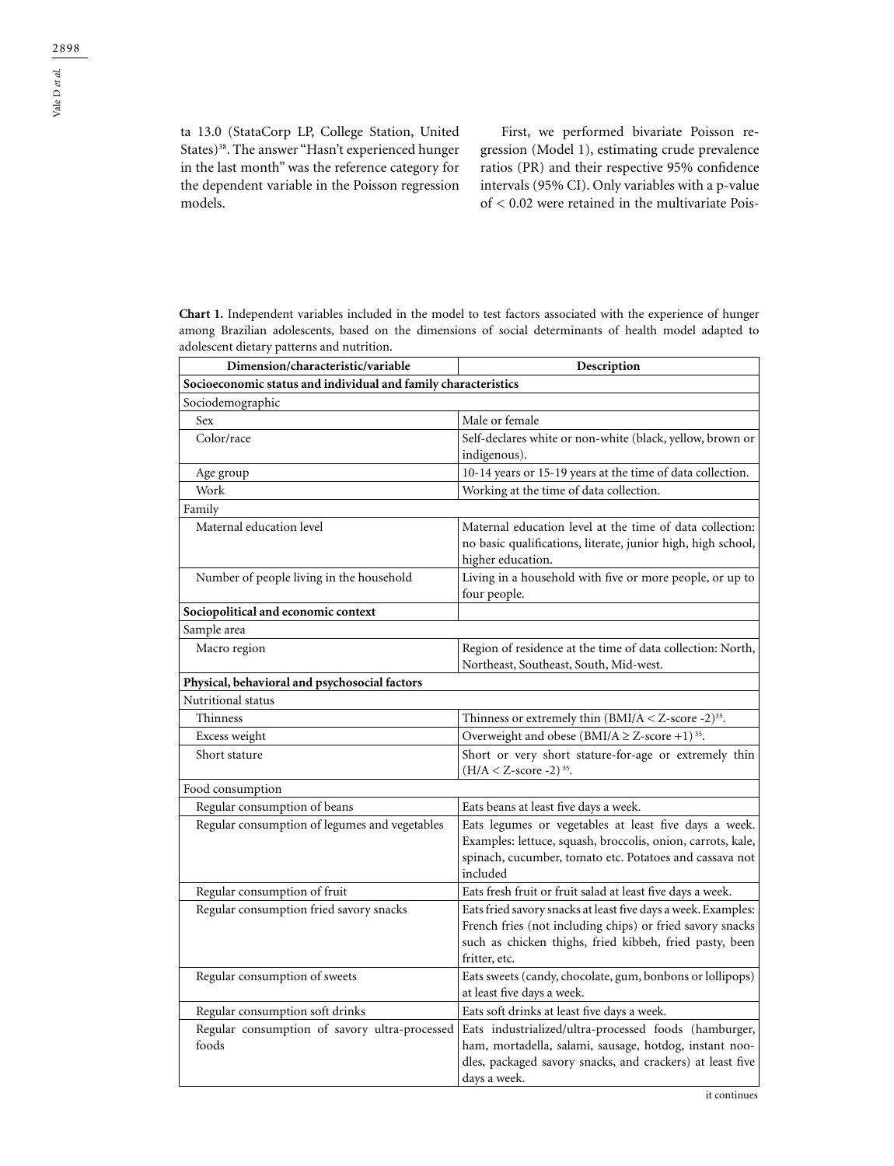ta 13.0 (StataCorp LP, College Station, United States)<sup>38</sup>. The answer "Hasn't experienced hunger in the last month" was the reference category for the dependent variable in the Poisson regression models.

First, we performed bivariate Poisson regression (Model 1), estimating crude prevalence ratios (PR) and their respective 95% confidence intervals (95% CI). Only variables with a p-value of < 0.02 were retained in the multivariate Pois-

**Chart 1.** Independent variables included in the model to test factors associated with the experience of hunger among Brazilian adolescents, based on the dimensions of social determinants of health model adapted to adolescent dietary patterns and nutrition.

| Dimension/characteristic/variable                              | Description                                                                                                                                                                                            |
|----------------------------------------------------------------|--------------------------------------------------------------------------------------------------------------------------------------------------------------------------------------------------------|
| Socioeconomic status and individual and family characteristics |                                                                                                                                                                                                        |
| Sociodemographic                                               |                                                                                                                                                                                                        |
| Sex                                                            | Male or female                                                                                                                                                                                         |
| Color/race                                                     | Self-declares white or non-white (black, yellow, brown or                                                                                                                                              |
|                                                                | indigenous).                                                                                                                                                                                           |
| Age group                                                      | 10-14 years or 15-19 years at the time of data collection.                                                                                                                                             |
| Work                                                           | Working at the time of data collection.                                                                                                                                                                |
| Family                                                         |                                                                                                                                                                                                        |
| Maternal education level                                       | Maternal education level at the time of data collection:<br>no basic qualifications, literate, junior high, high school,<br>higher education.                                                          |
| Number of people living in the household                       | Living in a household with five or more people, or up to<br>four people.                                                                                                                               |
| Sociopolitical and economic context                            |                                                                                                                                                                                                        |
| Sample area                                                    |                                                                                                                                                                                                        |
| Macro region                                                   | Region of residence at the time of data collection: North,<br>Northeast, Southeast, South, Mid-west.                                                                                                   |
| Physical, behavioral and psychosocial factors                  |                                                                                                                                                                                                        |
| Nutritional status                                             |                                                                                                                                                                                                        |
| Thinness                                                       | Thinness or extremely thin $(BMI/A < Z$ -score -2) <sup>35</sup> .                                                                                                                                     |
| Excess weight                                                  | Overweight and obese (BMI/A $\geq$ Z-score +1) <sup>35</sup> .                                                                                                                                         |
| Short stature                                                  | Short or very short stature-for-age or extremely thin<br>$(H/A < Z$ -score -2) <sup>35</sup> .                                                                                                         |
| Food consumption                                               |                                                                                                                                                                                                        |
| Regular consumption of beans                                   | Eats beans at least five days a week.                                                                                                                                                                  |
| Regular consumption of legumes and vegetables                  | Eats legumes or vegetables at least five days a week.<br>Examples: lettuce, squash, broccolis, onion, carrots, kale,<br>spinach, cucumber, tomato etc. Potatoes and cassava not<br>included            |
| Regular consumption of fruit                                   | Eats fresh fruit or fruit salad at least five days a week.                                                                                                                                             |
| Regular consumption fried savory snacks                        | Eats fried savory snacks at least five days a week. Examples:<br>French fries (not including chips) or fried savory snacks<br>such as chicken thighs, fried kibbeh, fried pasty, been<br>fritter, etc. |
| Regular consumption of sweets                                  | Eats sweets (candy, chocolate, gum, bonbons or lollipops)<br>at least five days a week.                                                                                                                |
| Regular consumption soft drinks                                | Eats soft drinks at least five days a week.                                                                                                                                                            |
| Regular consumption of savory ultra-processed<br>foods         | Eats industrialized/ultra-processed foods (hamburger,<br>ham, mortadella, salami, sausage, hotdog, instant noo-<br>dles, packaged savory snacks, and crackers) at least five<br>days a week.           |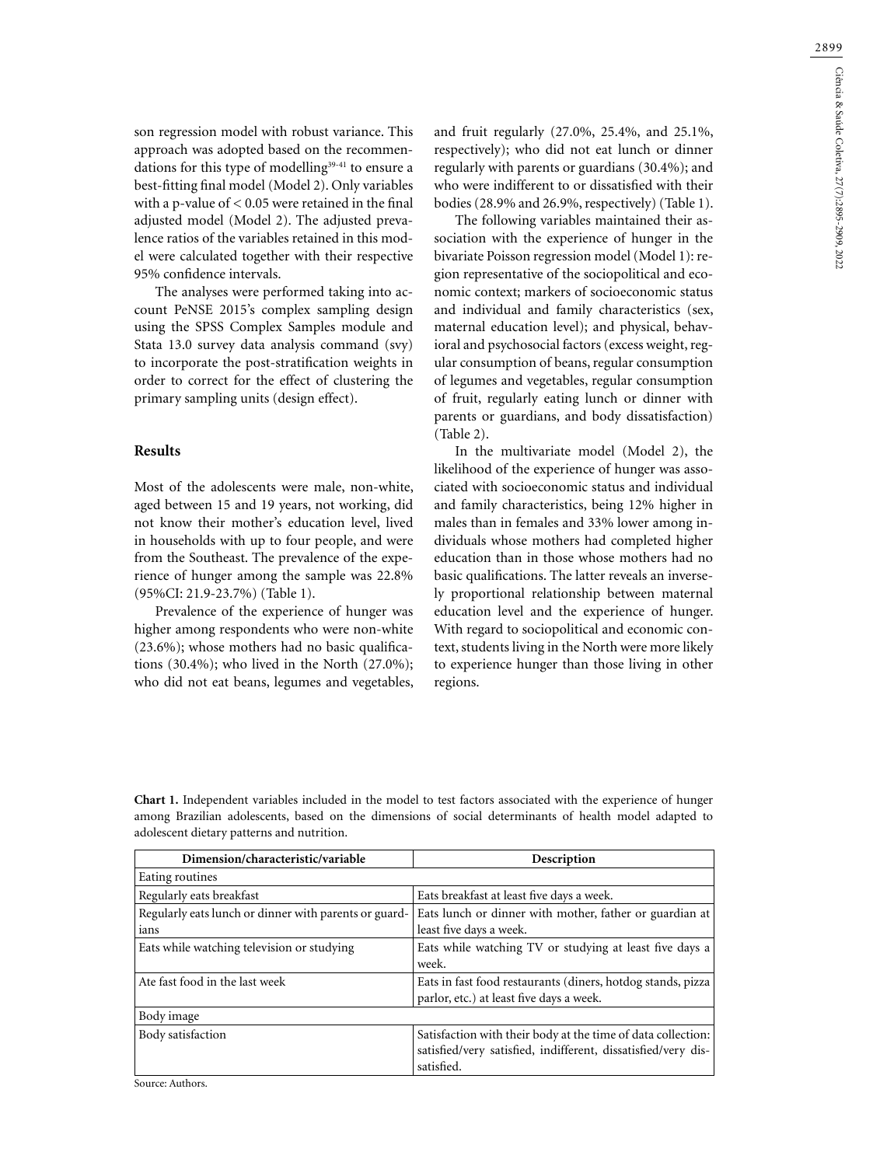son regression model with robust variance. This approach was adopted based on the recommendations for this type of modelling $39-41$  to ensure a best-fitting final model (Model 2). Only variables with a p-value of  $< 0.05$  were retained in the final adjusted model (Model 2). The adjusted prevalence ratios of the variables retained in this model were calculated together with their respective 95% confidence intervals.

The analyses were performed taking into account PeNSE 2015's complex sampling design using the SPSS Complex Samples module and Stata 13.0 survey data analysis command (svy) to incorporate the post-stratification weights in order to correct for the effect of clustering the primary sampling units (design effect).

### **Results**

Most of the adolescents were male, non-white, aged between 15 and 19 years, not working, did not know their mother's education level, lived in households with up to four people, and were from the Southeast. The prevalence of the experience of hunger among the sample was 22.8% (95%CI: 21.9-23.7%) (Table 1).

Prevalence of the experience of hunger was higher among respondents who were non-white (23.6%); whose mothers had no basic qualifications (30.4%); who lived in the North (27.0%); who did not eat beans, legumes and vegetables, and fruit regularly (27.0%, 25.4%, and 25.1%, respectively); who did not eat lunch or dinner regularly with parents or guardians (30.4%); and who were indifferent to or dissatisfied with their bodies (28.9% and 26.9%, respectively) (Table 1).

The following variables maintained their association with the experience of hunger in the bivariate Poisson regression model (Model 1): region representative of the sociopolitical and economic context; markers of socioeconomic status and individual and family characteristics (sex, maternal education level); and physical, behavioral and psychosocial factors (excess weight, regular consumption of beans, regular consumption of legumes and vegetables, regular consumption of fruit, regularly eating lunch or dinner with parents or guardians, and body dissatisfaction) (Table 2).

In the multivariate model (Model 2), the likelihood of the experience of hunger was associated with socioeconomic status and individual and family characteristics, being 12% higher in males than in females and 33% lower among individuals whose mothers had completed higher education than in those whose mothers had no basic qualifications. The latter reveals an inversely proportional relationship between maternal education level and the experience of hunger. With regard to sociopolitical and economic context, students living in the North were more likely to experience hunger than those living in other regions.

| <b>Chart 1.</b> Independent variables included in the model to test factors associated with the experience of hunger |
|----------------------------------------------------------------------------------------------------------------------|
| among Brazilian adolescents, based on the dimensions of social determinants of health model adapted to               |
| adolescent dietary patterns and nutrition.                                                                           |

| Dimension/characteristic/variable                             | Description                                                                                                                                 |
|---------------------------------------------------------------|---------------------------------------------------------------------------------------------------------------------------------------------|
| Eating routines                                               |                                                                                                                                             |
| Regularly eats breakfast                                      | Eats breakfast at least five days a week.                                                                                                   |
| Regularly eats lunch or dinner with parents or guard-<br>ians | Eats lunch or dinner with mother, father or guardian at<br>least five days a week.                                                          |
| Eats while watching television or studying                    | Eats while watching TV or studying at least five days a<br>week.                                                                            |
| Ate fast food in the last week                                | Eats in fast food restaurants (diners, hotdog stands, pizza<br>parlor, etc.) at least five days a week.                                     |
| Body image                                                    |                                                                                                                                             |
| Body satisfaction                                             | Satisfaction with their body at the time of data collection:<br>satisfied/very satisfied, indifferent, dissatisfied/very dis-<br>satisfied. |

Source: Authors.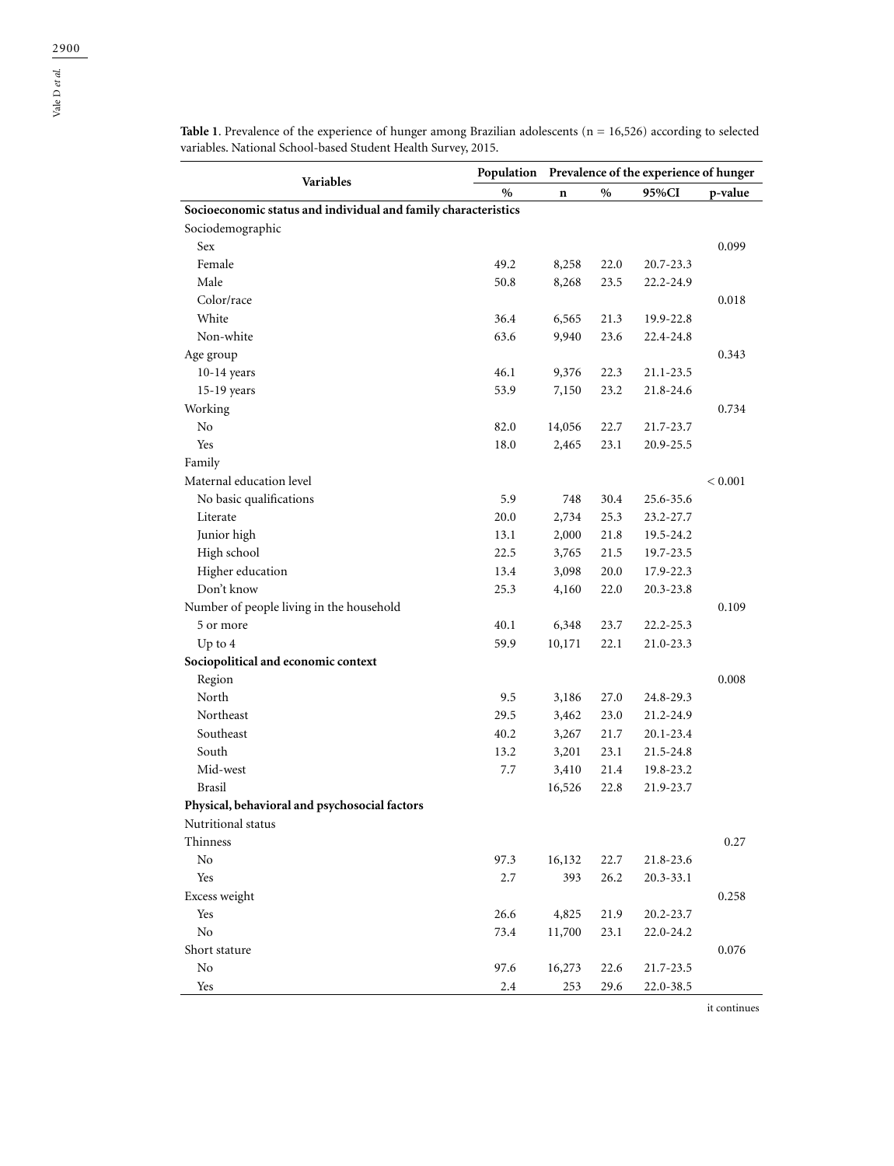Vale D *et al.*

| Variables                                                      | Population Prevalence of the experience of hunger |             |      |           |         |
|----------------------------------------------------------------|---------------------------------------------------|-------------|------|-----------|---------|
|                                                                | $\%$                                              | $\mathbf n$ | $\%$ | 95%CI     | p-value |
| Socioeconomic status and individual and family characteristics |                                                   |             |      |           |         |
| Sociodemographic                                               |                                                   |             |      |           |         |
| Sex                                                            |                                                   |             |      |           | 0.099   |
| Female                                                         | 49.2                                              | 8,258       | 22.0 | 20.7-23.3 |         |
| Male                                                           | 50.8                                              | 8,268       | 23.5 | 22.2-24.9 |         |
| Color/race                                                     |                                                   |             |      |           | 0.018   |
| White                                                          | 36.4                                              | 6,565       | 21.3 | 19.9-22.8 |         |
| Non-white                                                      | 63.6                                              | 9,940       | 23.6 | 22.4-24.8 |         |
| Age group                                                      |                                                   |             |      |           | 0.343   |
| $10-14$ years                                                  | 46.1                                              | 9,376       | 22.3 | 21.1-23.5 |         |
| 15-19 years                                                    | 53.9                                              | 7,150       | 23.2 | 21.8-24.6 |         |
| Working                                                        |                                                   |             |      |           | 0.734   |
| $\rm No$                                                       | 82.0                                              | 14,056      | 22.7 | 21.7-23.7 |         |
| Yes                                                            | 18.0                                              | 2,465       | 23.1 | 20.9-25.5 |         |
| Family                                                         |                                                   |             |      |           |         |
| Maternal education level                                       |                                                   |             |      |           | < 0.001 |
| No basic qualifications                                        | 5.9                                               | 748         | 30.4 | 25.6-35.6 |         |
| Literate                                                       | 20.0                                              | 2,734       | 25.3 | 23.2-27.7 |         |
| Junior high                                                    | 13.1                                              | 2,000       | 21.8 | 19.5-24.2 |         |
| High school                                                    | 22.5                                              | 3,765       | 21.5 | 19.7-23.5 |         |
| Higher education                                               | 13.4                                              | 3,098       | 20.0 | 17.9-22.3 |         |
| Don't know                                                     | 25.3                                              | 4,160       | 22.0 | 20.3-23.8 |         |
| Number of people living in the household                       |                                                   |             |      |           | 0.109   |
| 5 or more                                                      | 40.1                                              | 6,348       | 23.7 | 22.2-25.3 |         |
| Up to $4$                                                      | 59.9                                              | 10,171      | 22.1 | 21.0-23.3 |         |
| Sociopolitical and economic context                            |                                                   |             |      |           |         |
| Region                                                         |                                                   |             |      |           | 0.008   |
| North                                                          | 9.5                                               | 3,186       | 27.0 | 24.8-29.3 |         |
| Northeast                                                      | 29.5                                              | 3,462       | 23.0 | 21.2-24.9 |         |
| Southeast                                                      | 40.2                                              | 3,267       | 21.7 | 20.1-23.4 |         |
| South                                                          | 13.2                                              | 3,201       | 23.1 | 21.5-24.8 |         |
| Mid-west                                                       | 7.7                                               | 3,410       | 21.4 | 19.8-23.2 |         |

Brasil 16,526 22.8 21.9-23.7

Thinness 0.27 No 97.3 16,132 22.7 21.8-23.6 Yes 2.7 393 26.2 20.3-33.1 Excess weight 0.258 Yes 26.6 4,825 21.9 20.2-23.7 No 23.1 22.0-24.2 Short stature 0.076 No 97.6 16,273 22.6 21.7-23.5 Yes 2.4 253 29.6 22.0-38.5

**Physical, behavioral and psychosocial factors**

Nutritional status

**Table 1**. Prevalence of the experience of hunger among Brazilian adolescents (n = 16,526) according to selected

it continues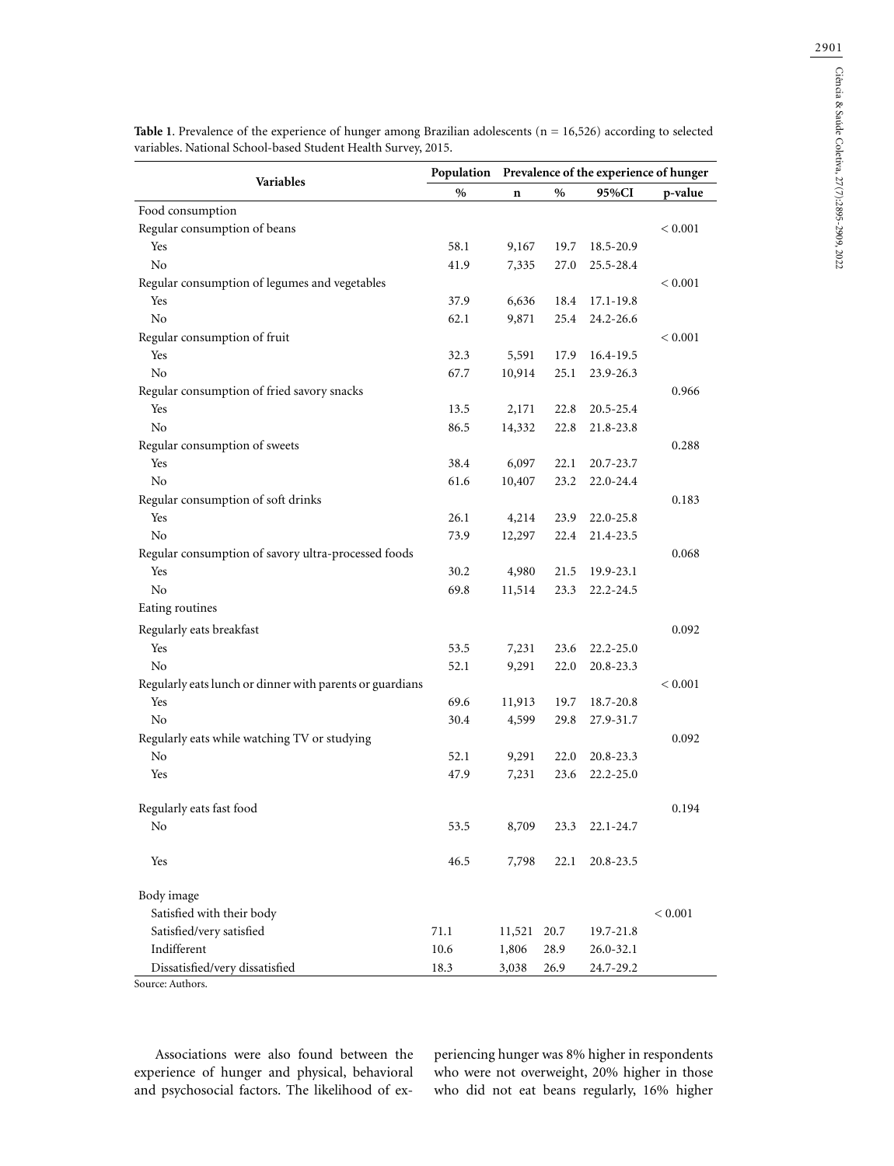|                                                          | Population Prevalence of the experience of hunger |             |      |               |             |
|----------------------------------------------------------|---------------------------------------------------|-------------|------|---------------|-------------|
| Variables                                                | $\%$                                              | $\mathbf n$ | $\%$ | 95%CI         | p-value     |
| Food consumption                                         |                                                   |             |      |               |             |
| Regular consumption of beans                             |                                                   |             |      |               | < 0.001     |
| Yes                                                      | 58.1                                              | 9,167       | 19.7 | 18.5-20.9     |             |
| No                                                       | 41.9                                              | 7,335       | 27.0 | 25.5-28.4     |             |
| Regular consumption of legumes and vegetables            |                                                   |             |      |               | < 0.001     |
| Yes                                                      | 37.9                                              | 6,636       | 18.4 | 17.1-19.8     |             |
| No                                                       | 62.1                                              | 9,871       | 25.4 | 24.2-26.6     |             |
| Regular consumption of fruit                             |                                                   |             |      |               | < 0.001     |
| Yes                                                      | 32.3                                              | 5,591       | 17.9 | 16.4-19.5     |             |
| No                                                       | 67.7                                              | 10,914      | 25.1 | 23.9-26.3     |             |
| Regular consumption of fried savory snacks               |                                                   |             |      |               | 0.966       |
| Yes                                                      | 13.5                                              | 2,171       | 22.8 | 20.5-25.4     |             |
| No                                                       | 86.5                                              | 14,332      | 22.8 | 21.8-23.8     |             |
| Regular consumption of sweets                            |                                                   |             |      |               | 0.288       |
| Yes                                                      | 38.4                                              | 6,097       | 22.1 | 20.7-23.7     |             |
| No                                                       | 61.6                                              | 10,407      | 23.2 | 22.0-24.4     |             |
| Regular consumption of soft drinks                       |                                                   |             |      |               | 0.183       |
| Yes                                                      | 26.1                                              | 4,214       | 23.9 | 22.0-25.8     |             |
| No                                                       | 73.9                                              | 12,297      | 22.4 | 21.4-23.5     |             |
| Regular consumption of savory ultra-processed foods      |                                                   |             |      |               | 0.068       |
| Yes                                                      | 30.2                                              | 4,980       | 21.5 | 19.9-23.1     |             |
| No                                                       | 69.8                                              | 11,514      | 23.3 | 22.2-24.5     |             |
| Eating routines                                          |                                                   |             |      |               |             |
| Regularly eats breakfast                                 |                                                   |             |      |               | 0.092       |
| Yes                                                      | 53.5                                              | 7,231       | 23.6 | $22.2 - 25.0$ |             |
| No                                                       | 52.1                                              | 9,291       | 22.0 | 20.8-23.3     |             |
| Regularly eats lunch or dinner with parents or guardians |                                                   |             |      |               | < 0.001     |
| Yes                                                      | 69.6                                              | 11,913      | 19.7 | 18.7-20.8     |             |
| No                                                       | 30.4                                              | 4,599       | 29.8 | 27.9-31.7     |             |
| Regularly eats while watching TV or studying             |                                                   |             |      |               | 0.092       |
| No                                                       | 52.1                                              | 9,291       | 22.0 | $20.8 - 23.3$ |             |
| Yes                                                      | 47.9                                              | 7,231       | 23.6 | 22.2-25.0     |             |
|                                                          |                                                   |             |      |               |             |
| Regularly eats fast food                                 |                                                   |             |      |               | 0.194       |
| No                                                       | 53.5                                              | 8,709       | 23.3 | 22.1-24.7     |             |
| Yes                                                      | 46.5                                              | 7,798       | 22.1 | 20.8-23.5     |             |
| Body image                                               |                                                   |             |      |               |             |
| Satisfied with their body                                |                                                   |             |      |               | ${}< 0.001$ |
| Satisfied/very satisfied                                 | 71.1                                              | 11,521      | 20.7 | 19.7-21.8     |             |
| Indifferent                                              | 10.6                                              | 1,806       | 28.9 | 26.0-32.1     |             |
| Dissatisfied/very dissatisfied                           | 18.3                                              | 3,038       | 26.9 | 24.7-29.2     |             |

**Table 1**. Prevalence of the experience of hunger among Brazilian adolescents (n = 16,526) according to selected variables. National School-based Student Health Survey, 2015.

Source: Authors.

Associations were also found between the experience of hunger and physical, behavioral and psychosocial factors. The likelihood of ex-

periencing hunger was 8% higher in respondents who were not overweight, 20% higher in those who did not eat beans regularly, 16% higher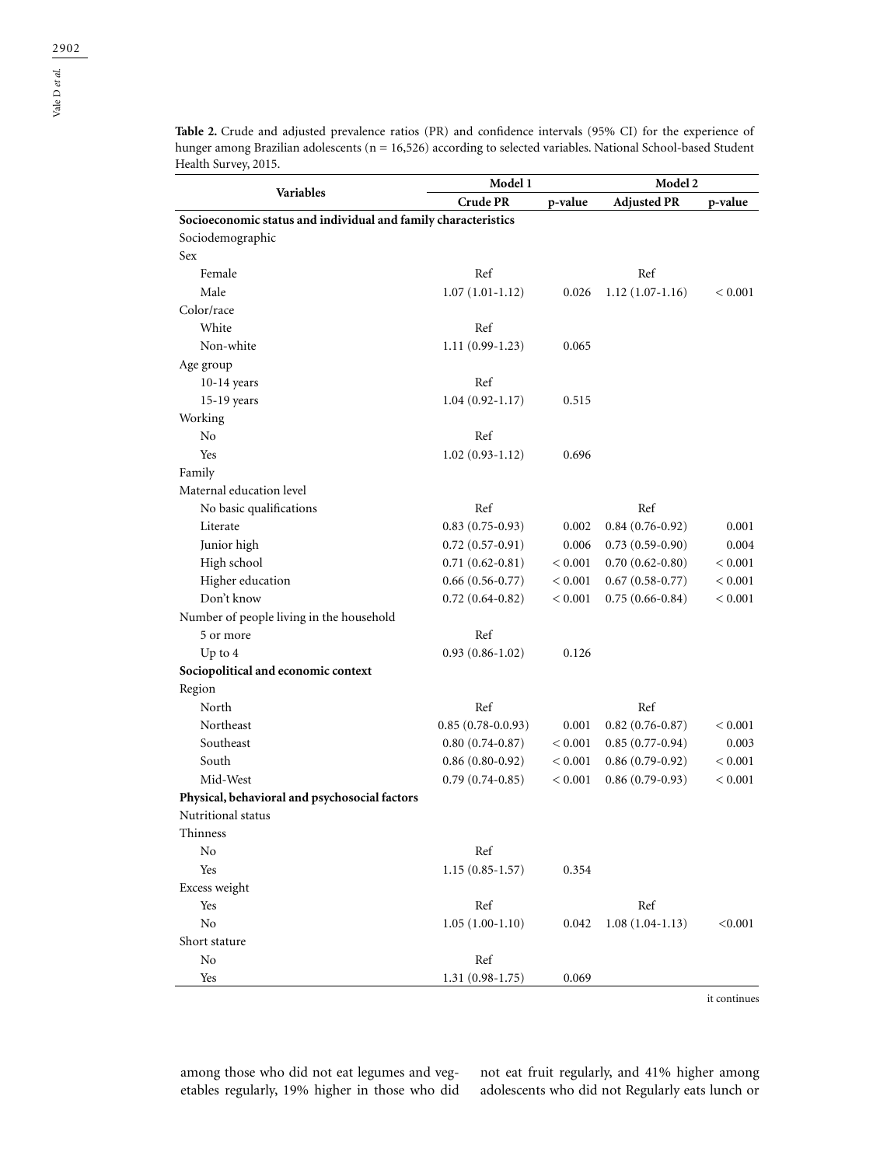**Table 2.** Crude and adjusted prevalence ratios (PR) and confidence intervals (95% CI) for the experience of hunger among Brazilian adolescents (n = 16,526) according to selected variables. National School-based Student Health Survey, 2015.

|                                                                | Model 1             |             | Model 2             |         |
|----------------------------------------------------------------|---------------------|-------------|---------------------|---------|
| Variables                                                      | <b>Crude PR</b>     | p-value     | <b>Adjusted PR</b>  | p-value |
| Socioeconomic status and individual and family characteristics |                     |             |                     |         |
| Sociodemographic                                               |                     |             |                     |         |
| Sex                                                            |                     |             |                     |         |
| Female                                                         | Ref                 |             | Ref                 |         |
| Male                                                           | $1.07(1.01-1.12)$   | 0.026       | $1.12(1.07-1.16)$   | < 0.001 |
| Color/race                                                     |                     |             |                     |         |
| White                                                          | Ref                 |             |                     |         |
| Non-white                                                      | $1.11(0.99-1.23)$   | 0.065       |                     |         |
| Age group                                                      |                     |             |                     |         |
| $10-14$ years                                                  | Ref                 |             |                     |         |
| 15-19 years                                                    | $1.04(0.92 - 1.17)$ | 0.515       |                     |         |
| Working                                                        |                     |             |                     |         |
| No                                                             | Ref                 |             |                     |         |
| Yes                                                            | $1.02(0.93-1.12)$   | 0.696       |                     |         |
| Family                                                         |                     |             |                     |         |
| Maternal education level                                       |                     |             |                     |         |
| No basic qualifications                                        | Ref                 |             | Ref                 |         |
| Literate                                                       | $0.83(0.75-0.93)$   | 0.002       | $0.84(0.76-0.92)$   | 0.001   |
| Junior high                                                    | $0.72(0.57-0.91)$   | 0.006       | $0.73(0.59-0.90)$   | 0.004   |
| High school                                                    | $0.71(0.62 - 0.81)$ | ${}< 0.001$ | $0.70(0.62 - 0.80)$ | < 0.001 |
| Higher education                                               | $0.66(0.56-0.77)$   | < 0.001     | $0.67(0.58-0.77)$   | < 0.001 |
| Don't know                                                     | $0.72(0.64 - 0.82)$ | < 0.001     | $0.75(0.66-0.84)$   | < 0.001 |
| Number of people living in the household                       |                     |             |                     |         |
| 5 or more                                                      | Ref                 |             |                     |         |
| Up to $4$                                                      | $0.93(0.86-1.02)$   | 0.126       |                     |         |
| Sociopolitical and economic context                            |                     |             |                     |         |
| Region                                                         |                     |             |                     |         |
| North                                                          | Ref                 |             | Ref                 |         |
| Northeast                                                      | $0.85(0.78-0.0.93)$ | 0.001       | $0.82$ (0.76-0.87)  | < 0.001 |
| Southeast                                                      | $0.80(0.74-0.87)$   | < 0.001     | $0.85(0.77-0.94)$   | 0.003   |
| South                                                          | $0.86(0.80-0.92)$   | < 0.001     | $0.86(0.79-0.92)$   | < 0.001 |
| Mid-West                                                       | $0.79(0.74-0.85)$   | < 0.001     | $0.86(0.79-0.93)$   | < 0.001 |
| Physical, behavioral and psychosocial factors                  |                     |             |                     |         |
| Nutritional status                                             |                     |             |                     |         |
| Thinness                                                       |                     |             |                     |         |
| No                                                             | Ref                 |             |                     |         |
| Yes                                                            | $1.15(0.85 - 1.57)$ | 0.354       |                     |         |
| Excess weight                                                  |                     |             |                     |         |
| Yes                                                            | Ref                 |             | Ref                 |         |
| $\rm No$                                                       | $1.05(1.00-1.10)$   | 0.042       | $1.08(1.04-1.13)$   | < 0.001 |
| Short stature                                                  |                     |             |                     |         |
| No                                                             | Ref                 |             |                     |         |
| Yes                                                            | $1.31(0.98-1.75)$   | 0.069       |                     |         |

it continues

among those who did not eat legumes and vegetables regularly, 19% higher in those who did not eat fruit regularly, and 41% higher among adolescents who did not Regularly eats lunch or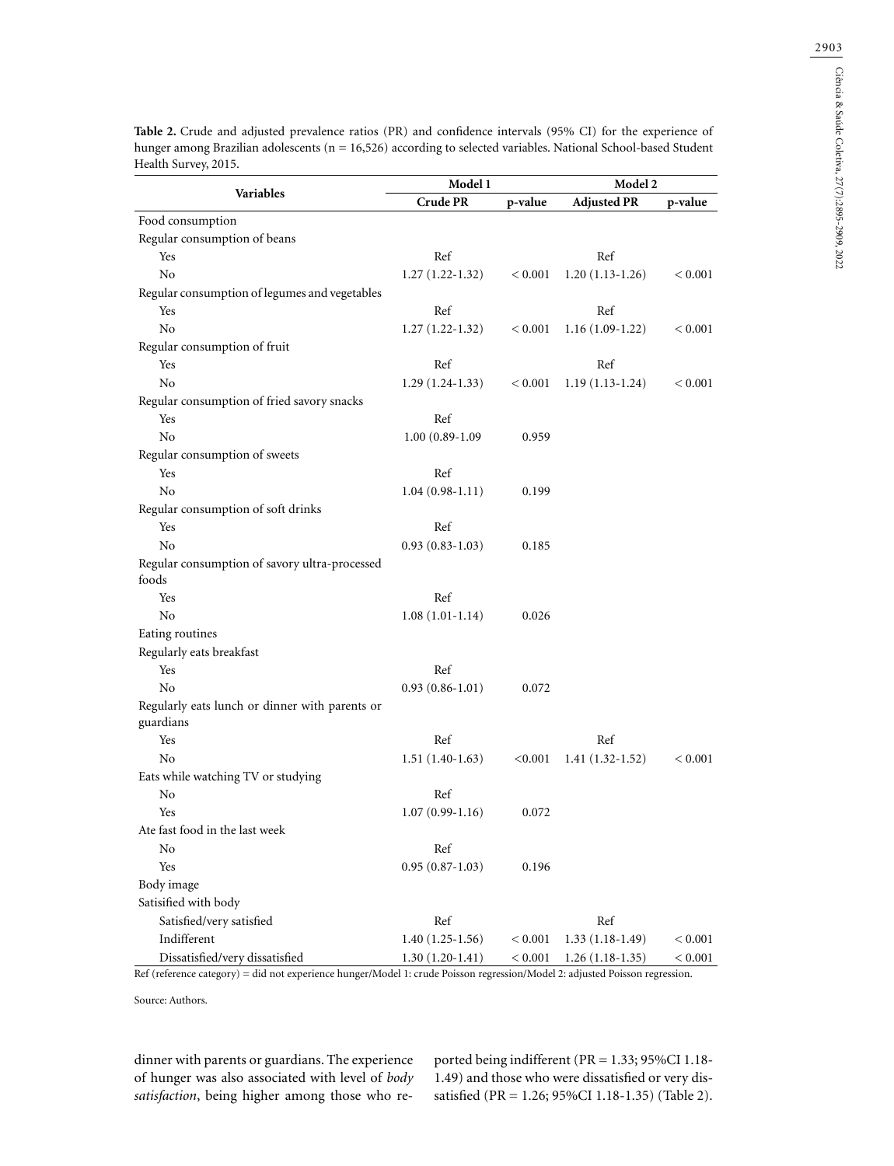| Variables<br><b>Adjusted PR</b><br><b>Crude PR</b><br>p-value<br>p-value<br>Food consumption<br>Regular consumption of beans<br>Ref<br>Ref<br>Yes<br>No<br>$1.27(1.22-1.32)$<br>$1.20(1.13-1.26)$<br>< 0.001<br>${}_{< 0.001}$<br>Regular consumption of legumes and vegetables<br>Ref<br>Ref<br>Yes<br>N <sub>0</sub><br>$1.27(1.22-1.32)$<br>$1.16(1.09-1.22)$<br>< 0.001<br>< 0.001<br>Regular consumption of fruit<br>Yes<br>Ref<br>Ref<br>No<br>$1.29(1.24-1.33)$<br>$1.19(1.13-1.24)$<br>< 0.001<br>< 0.001<br>Regular consumption of fried savory snacks<br>Ref<br>Yes<br>N <sub>0</sub><br>$1.00(0.89-1.09)$<br>0.959<br>Regular consumption of sweets<br>Yes<br>Ref<br>No<br>$1.04(0.98-1.11)$<br>0.199<br>Regular consumption of soft drinks<br>Yes<br>Ref<br>No<br>$0.93(0.83-1.03)$<br>0.185<br>Regular consumption of savory ultra-processed<br>foods<br>Ref<br>Yes<br>No<br>$1.08(1.01-1.14)$<br>0.026<br>Eating routines<br>Regularly eats breakfast<br>Yes<br>Ref<br>No<br>0.072<br>$0.93(0.86-1.01)$<br>Regularly eats lunch or dinner with parents or<br>guardians<br>Yes<br>Ref<br>Ref<br>No<br>$1.51(1.40-1.63)$<br>< 0.001<br>$1.41(1.32-1.52)$<br>${}< 0.001$<br>Eats while watching TV or studying |    |
|---------------------------------------------------------------------------------------------------------------------------------------------------------------------------------------------------------------------------------------------------------------------------------------------------------------------------------------------------------------------------------------------------------------------------------------------------------------------------------------------------------------------------------------------------------------------------------------------------------------------------------------------------------------------------------------------------------------------------------------------------------------------------------------------------------------------------------------------------------------------------------------------------------------------------------------------------------------------------------------------------------------------------------------------------------------------------------------------------------------------------------------------------------------------------------------------------------------------------|----|
|                                                                                                                                                                                                                                                                                                                                                                                                                                                                                                                                                                                                                                                                                                                                                                                                                                                                                                                                                                                                                                                                                                                                                                                                                           |    |
|                                                                                                                                                                                                                                                                                                                                                                                                                                                                                                                                                                                                                                                                                                                                                                                                                                                                                                                                                                                                                                                                                                                                                                                                                           |    |
|                                                                                                                                                                                                                                                                                                                                                                                                                                                                                                                                                                                                                                                                                                                                                                                                                                                                                                                                                                                                                                                                                                                                                                                                                           |    |
|                                                                                                                                                                                                                                                                                                                                                                                                                                                                                                                                                                                                                                                                                                                                                                                                                                                                                                                                                                                                                                                                                                                                                                                                                           |    |
|                                                                                                                                                                                                                                                                                                                                                                                                                                                                                                                                                                                                                                                                                                                                                                                                                                                                                                                                                                                                                                                                                                                                                                                                                           |    |
|                                                                                                                                                                                                                                                                                                                                                                                                                                                                                                                                                                                                                                                                                                                                                                                                                                                                                                                                                                                                                                                                                                                                                                                                                           |    |
|                                                                                                                                                                                                                                                                                                                                                                                                                                                                                                                                                                                                                                                                                                                                                                                                                                                                                                                                                                                                                                                                                                                                                                                                                           |    |
|                                                                                                                                                                                                                                                                                                                                                                                                                                                                                                                                                                                                                                                                                                                                                                                                                                                                                                                                                                                                                                                                                                                                                                                                                           |    |
|                                                                                                                                                                                                                                                                                                                                                                                                                                                                                                                                                                                                                                                                                                                                                                                                                                                                                                                                                                                                                                                                                                                                                                                                                           |    |
|                                                                                                                                                                                                                                                                                                                                                                                                                                                                                                                                                                                                                                                                                                                                                                                                                                                                                                                                                                                                                                                                                                                                                                                                                           |    |
|                                                                                                                                                                                                                                                                                                                                                                                                                                                                                                                                                                                                                                                                                                                                                                                                                                                                                                                                                                                                                                                                                                                                                                                                                           |    |
|                                                                                                                                                                                                                                                                                                                                                                                                                                                                                                                                                                                                                                                                                                                                                                                                                                                                                                                                                                                                                                                                                                                                                                                                                           |    |
|                                                                                                                                                                                                                                                                                                                                                                                                                                                                                                                                                                                                                                                                                                                                                                                                                                                                                                                                                                                                                                                                                                                                                                                                                           |    |
|                                                                                                                                                                                                                                                                                                                                                                                                                                                                                                                                                                                                                                                                                                                                                                                                                                                                                                                                                                                                                                                                                                                                                                                                                           |    |
|                                                                                                                                                                                                                                                                                                                                                                                                                                                                                                                                                                                                                                                                                                                                                                                                                                                                                                                                                                                                                                                                                                                                                                                                                           |    |
|                                                                                                                                                                                                                                                                                                                                                                                                                                                                                                                                                                                                                                                                                                                                                                                                                                                                                                                                                                                                                                                                                                                                                                                                                           |    |
|                                                                                                                                                                                                                                                                                                                                                                                                                                                                                                                                                                                                                                                                                                                                                                                                                                                                                                                                                                                                                                                                                                                                                                                                                           |    |
|                                                                                                                                                                                                                                                                                                                                                                                                                                                                                                                                                                                                                                                                                                                                                                                                                                                                                                                                                                                                                                                                                                                                                                                                                           |    |
|                                                                                                                                                                                                                                                                                                                                                                                                                                                                                                                                                                                                                                                                                                                                                                                                                                                                                                                                                                                                                                                                                                                                                                                                                           |    |
|                                                                                                                                                                                                                                                                                                                                                                                                                                                                                                                                                                                                                                                                                                                                                                                                                                                                                                                                                                                                                                                                                                                                                                                                                           |    |
|                                                                                                                                                                                                                                                                                                                                                                                                                                                                                                                                                                                                                                                                                                                                                                                                                                                                                                                                                                                                                                                                                                                                                                                                                           |    |
|                                                                                                                                                                                                                                                                                                                                                                                                                                                                                                                                                                                                                                                                                                                                                                                                                                                                                                                                                                                                                                                                                                                                                                                                                           |    |
|                                                                                                                                                                                                                                                                                                                                                                                                                                                                                                                                                                                                                                                                                                                                                                                                                                                                                                                                                                                                                                                                                                                                                                                                                           |    |
|                                                                                                                                                                                                                                                                                                                                                                                                                                                                                                                                                                                                                                                                                                                                                                                                                                                                                                                                                                                                                                                                                                                                                                                                                           |    |
|                                                                                                                                                                                                                                                                                                                                                                                                                                                                                                                                                                                                                                                                                                                                                                                                                                                                                                                                                                                                                                                                                                                                                                                                                           |    |
|                                                                                                                                                                                                                                                                                                                                                                                                                                                                                                                                                                                                                                                                                                                                                                                                                                                                                                                                                                                                                                                                                                                                                                                                                           |    |
|                                                                                                                                                                                                                                                                                                                                                                                                                                                                                                                                                                                                                                                                                                                                                                                                                                                                                                                                                                                                                                                                                                                                                                                                                           |    |
|                                                                                                                                                                                                                                                                                                                                                                                                                                                                                                                                                                                                                                                                                                                                                                                                                                                                                                                                                                                                                                                                                                                                                                                                                           |    |
|                                                                                                                                                                                                                                                                                                                                                                                                                                                                                                                                                                                                                                                                                                                                                                                                                                                                                                                                                                                                                                                                                                                                                                                                                           |    |
|                                                                                                                                                                                                                                                                                                                                                                                                                                                                                                                                                                                                                                                                                                                                                                                                                                                                                                                                                                                                                                                                                                                                                                                                                           |    |
|                                                                                                                                                                                                                                                                                                                                                                                                                                                                                                                                                                                                                                                                                                                                                                                                                                                                                                                                                                                                                                                                                                                                                                                                                           |    |
|                                                                                                                                                                                                                                                                                                                                                                                                                                                                                                                                                                                                                                                                                                                                                                                                                                                                                                                                                                                                                                                                                                                                                                                                                           |    |
|                                                                                                                                                                                                                                                                                                                                                                                                                                                                                                                                                                                                                                                                                                                                                                                                                                                                                                                                                                                                                                                                                                                                                                                                                           |    |
| Ref                                                                                                                                                                                                                                                                                                                                                                                                                                                                                                                                                                                                                                                                                                                                                                                                                                                                                                                                                                                                                                                                                                                                                                                                                       | No |
| Yes<br>$1.07(0.99-1.16)$<br>0.072                                                                                                                                                                                                                                                                                                                                                                                                                                                                                                                                                                                                                                                                                                                                                                                                                                                                                                                                                                                                                                                                                                                                                                                         |    |
| Ate fast food in the last week                                                                                                                                                                                                                                                                                                                                                                                                                                                                                                                                                                                                                                                                                                                                                                                                                                                                                                                                                                                                                                                                                                                                                                                            |    |
| Ref<br>No                                                                                                                                                                                                                                                                                                                                                                                                                                                                                                                                                                                                                                                                                                                                                                                                                                                                                                                                                                                                                                                                                                                                                                                                                 |    |
| Yes<br>$0.95(0.87-1.03)$<br>0.196                                                                                                                                                                                                                                                                                                                                                                                                                                                                                                                                                                                                                                                                                                                                                                                                                                                                                                                                                                                                                                                                                                                                                                                         |    |
| Body image                                                                                                                                                                                                                                                                                                                                                                                                                                                                                                                                                                                                                                                                                                                                                                                                                                                                                                                                                                                                                                                                                                                                                                                                                |    |
| Satisified with body                                                                                                                                                                                                                                                                                                                                                                                                                                                                                                                                                                                                                                                                                                                                                                                                                                                                                                                                                                                                                                                                                                                                                                                                      |    |
| Satisfied/very satisfied<br>Ref<br>Ref                                                                                                                                                                                                                                                                                                                                                                                                                                                                                                                                                                                                                                                                                                                                                                                                                                                                                                                                                                                                                                                                                                                                                                                    |    |
| Indifferent<br>$1.40(1.25-1.56)$<br>$1.33(1.18-1.49)$<br>< 0.001<br>< 0.001                                                                                                                                                                                                                                                                                                                                                                                                                                                                                                                                                                                                                                                                                                                                                                                                                                                                                                                                                                                                                                                                                                                                               |    |
| Dissatisfied/very dissatisfied<br>$1.30(1.20-1.41)$<br>< 0.001<br>$1.26(1.18-1.35)$<br>< 0.001                                                                                                                                                                                                                                                                                                                                                                                                                                                                                                                                                                                                                                                                                                                                                                                                                                                                                                                                                                                                                                                                                                                            |    |

**Table 2.** Crude and adjusted prevalence ratios (PR) and confidence intervals (95% CI) for the experience of hunger among Brazilian adolescents (n = 16,526) according to selected variables. National School-based Student Health Survey, 2015.

Ref (reference category) = did not experience hunger/Model 1: crude Poisson regression/Model 2: adjusted Poisson regression.

Source: Authors.

dinner with parents or guardians. The experience of hunger was also associated with level of *body satisfaction*, being higher among those who reported being indifferent (PR = 1.33; 95%CI 1.18- 1.49) and those who were dissatisfied or very dissatisfied (PR = 1.26; 95%CI 1.18-1.35) (Table 2).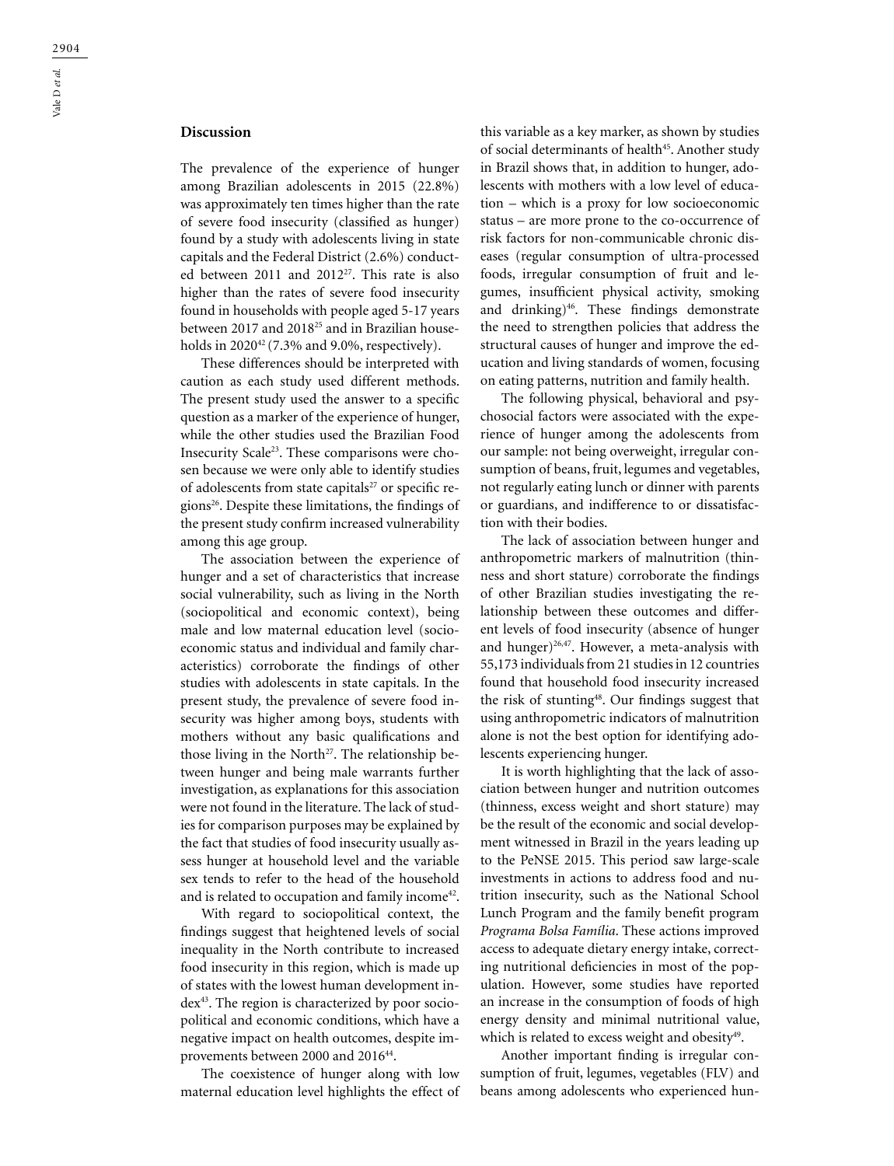## **Discussion**

The prevalence of the experience of hunger among Brazilian adolescents in 2015 (22.8%) was approximately ten times higher than the rate of severe food insecurity (classified as hunger) found by a study with adolescents living in state capitals and the Federal District (2.6%) conducted between 2011 and 2012<sup>27</sup>. This rate is also higher than the rates of severe food insecurity found in households with people aged 5-17 years between 2017 and 2018<sup>25</sup> and in Brazilian households in  $2020^{42}$  (7.3% and 9.0%, respectively).

These differences should be interpreted with caution as each study used different methods. The present study used the answer to a specific question as a marker of the experience of hunger, while the other studies used the Brazilian Food Insecurity Scale23. These comparisons were chosen because we were only able to identify studies of adolescents from state capitals $27$  or specific regions26. Despite these limitations, the findings of the present study confirm increased vulnerability among this age group.

The association between the experience of hunger and a set of characteristics that increase social vulnerability, such as living in the North (sociopolitical and economic context), being male and low maternal education level (socioeconomic status and individual and family characteristics) corroborate the findings of other studies with adolescents in state capitals. In the present study, the prevalence of severe food insecurity was higher among boys, students with mothers without any basic qualifications and those living in the North<sup>27</sup>. The relationship between hunger and being male warrants further investigation, as explanations for this association were not found in the literature. The lack of studies for comparison purposes may be explained by the fact that studies of food insecurity usually assess hunger at household level and the variable sex tends to refer to the head of the household and is related to occupation and family income<sup>42</sup>.

With regard to sociopolitical context, the findings suggest that heightened levels of social inequality in the North contribute to increased food insecurity in this region, which is made up of states with the lowest human development index43. The region is characterized by poor sociopolitical and economic conditions, which have a negative impact on health outcomes, despite improvements between 2000 and 2016<sup>44</sup>.

The coexistence of hunger along with low maternal education level highlights the effect of this variable as a key marker, as shown by studies of social determinants of health<sup>45</sup>. Another study in Brazil shows that, in addition to hunger, adolescents with mothers with a low level of education – which is a proxy for low socioeconomic status – are more prone to the co-occurrence of risk factors for non-communicable chronic diseases (regular consumption of ultra-processed foods, irregular consumption of fruit and legumes, insufficient physical activity, smoking and drinking)<sup>46</sup>. These findings demonstrate the need to strengthen policies that address the structural causes of hunger and improve the education and living standards of women, focusing on eating patterns, nutrition and family health.

The following physical, behavioral and psychosocial factors were associated with the experience of hunger among the adolescents from our sample: not being overweight, irregular consumption of beans, fruit, legumes and vegetables, not regularly eating lunch or dinner with parents or guardians, and indifference to or dissatisfaction with their bodies.

The lack of association between hunger and anthropometric markers of malnutrition (thinness and short stature) corroborate the findings of other Brazilian studies investigating the relationship between these outcomes and different levels of food insecurity (absence of hunger and hunger)<sup>26,47</sup>. However, a meta-analysis with 55,173 individuals from 21 studies in 12 countries found that household food insecurity increased the risk of stunting<sup>48</sup>. Our findings suggest that using anthropometric indicators of malnutrition alone is not the best option for identifying adolescents experiencing hunger.

It is worth highlighting that the lack of association between hunger and nutrition outcomes (thinness, excess weight and short stature) may be the result of the economic and social development witnessed in Brazil in the years leading up to the PeNSE 2015. This period saw large-scale investments in actions to address food and nutrition insecurity, such as the National School Lunch Program and the family benefit program *Programa Bolsa Família*. These actions improved access to adequate dietary energy intake, correcting nutritional deficiencies in most of the population. However, some studies have reported an increase in the consumption of foods of high energy density and minimal nutritional value, which is related to excess weight and obesity $49$ .

Another important finding is irregular consumption of fruit, legumes, vegetables (FLV) and beans among adolescents who experienced hun-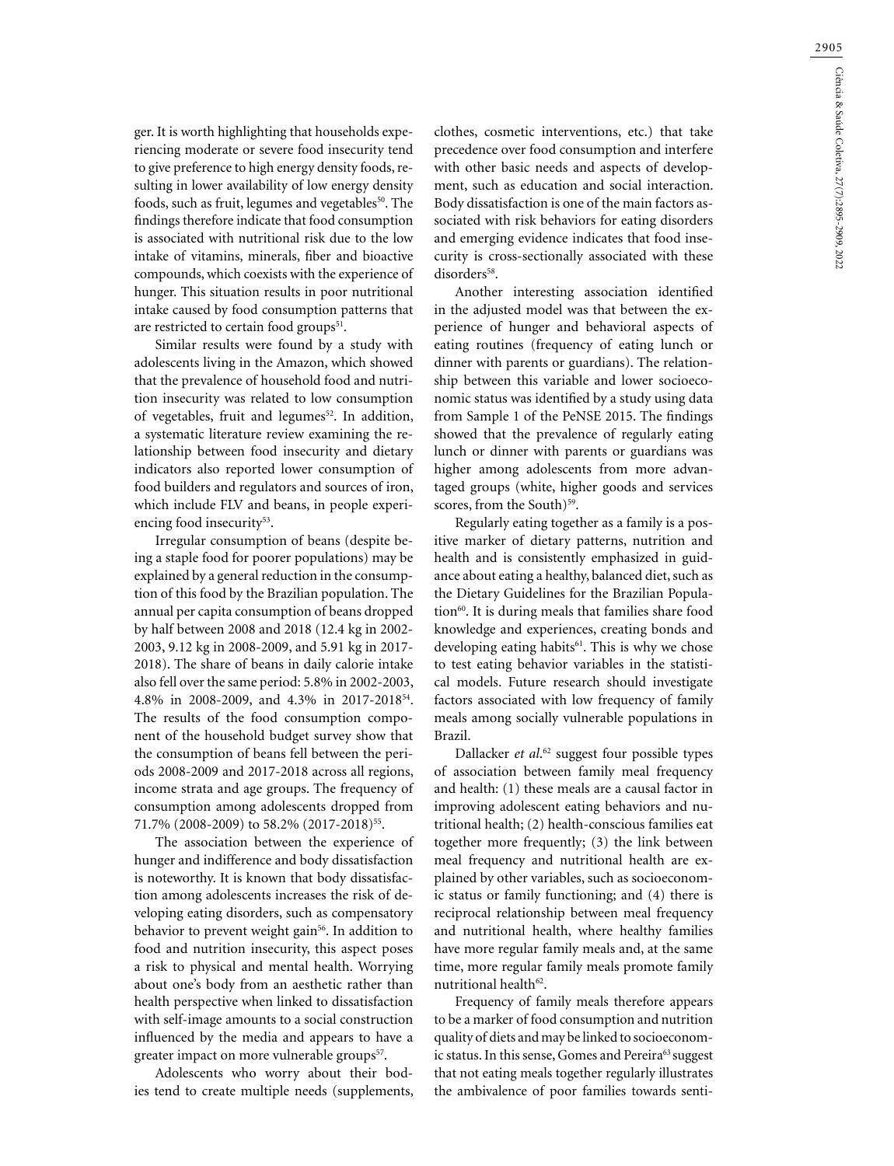2905

ger. It is worth highlighting that households experiencing moderate or severe food insecurity tend to give preference to high energy density foods, resulting in lower availability of low energy density foods, such as fruit, legumes and vegetables<sup>50</sup>. The findings therefore indicate that food consumption is associated with nutritional risk due to the low intake of vitamins, minerals, fiber and bioactive compounds, which coexists with the experience of hunger. This situation results in poor nutritional intake caused by food consumption patterns that are restricted to certain food groups<sup>51</sup>.

Similar results were found by a study with adolescents living in the Amazon, which showed that the prevalence of household food and nutrition insecurity was related to low consumption of vegetables, fruit and legumes<sup>52</sup>. In addition, a systematic literature review examining the relationship between food insecurity and dietary indicators also reported lower consumption of food builders and regulators and sources of iron, which include FLV and beans, in people experiencing food insecurity<sup>53</sup>.

Irregular consumption of beans (despite being a staple food for poorer populations) may be explained by a general reduction in the consumption of this food by the Brazilian population. The annual per capita consumption of beans dropped by half between 2008 and 2018 (12.4 kg in 2002- 2003, 9.12 kg in 2008-2009, and 5.91 kg in 2017- 2018). The share of beans in daily calorie intake also fell over the same period: 5.8% in 2002-2003, 4.8% in 2008-2009, and 4.3% in 2017-201854. The results of the food consumption component of the household budget survey show that the consumption of beans fell between the periods 2008-2009 and 2017-2018 across all regions, income strata and age groups. The frequency of consumption among adolescents dropped from 71.7% (2008-2009) to 58.2% (2017-2018)<sup>55</sup>.

The association between the experience of hunger and indifference and body dissatisfaction is noteworthy. It is known that body dissatisfaction among adolescents increases the risk of developing eating disorders, such as compensatory behavior to prevent weight gain<sup>56</sup>. In addition to food and nutrition insecurity, this aspect poses a risk to physical and mental health. Worrying about one's body from an aesthetic rather than health perspective when linked to dissatisfaction with self-image amounts to a social construction influenced by the media and appears to have a greater impact on more vulnerable groups<sup>57</sup>.

Adolescents who worry about their bodies tend to create multiple needs (supplements, clothes, cosmetic interventions, etc.) that take precedence over food consumption and interfere with other basic needs and aspects of development, such as education and social interaction. Body dissatisfaction is one of the main factors associated with risk behaviors for eating disorders and emerging evidence indicates that food insecurity is cross-sectionally associated with these disorders<sup>58</sup>.

Another interesting association identified in the adjusted model was that between the experience of hunger and behavioral aspects of eating routines (frequency of eating lunch or dinner with parents or guardians). The relationship between this variable and lower socioeconomic status was identified by a study using data from Sample 1 of the PeNSE 2015. The findings showed that the prevalence of regularly eating lunch or dinner with parents or guardians was higher among adolescents from more advantaged groups (white, higher goods and services scores, from the South)<sup>59</sup>.

Regularly eating together as a family is a positive marker of dietary patterns, nutrition and health and is consistently emphasized in guidance about eating a healthy, balanced diet, such as the Dietary Guidelines for the Brazilian Population<sup>60</sup>. It is during meals that families share food knowledge and experiences, creating bonds and developing eating habits<sup>61</sup>. This is why we chose to test eating behavior variables in the statistical models. Future research should investigate factors associated with low frequency of family meals among socially vulnerable populations in Brazil.

Dallacker *et al*. 62 suggest four possible types of association between family meal frequency and health: (1) these meals are a causal factor in improving adolescent eating behaviors and nutritional health; (2) health-conscious families eat together more frequently; (3) the link between meal frequency and nutritional health are explained by other variables, such as socioeconomic status or family functioning; and (4) there is reciprocal relationship between meal frequency and nutritional health, where healthy families have more regular family meals and, at the same time, more regular family meals promote family nutritional health<sup>62</sup>.

Frequency of family meals therefore appears to be a marker of food consumption and nutrition quality of diets and may be linked to socioeconomic status. In this sense, Gomes and Pereira<sup>63</sup> suggest that not eating meals together regularly illustrates the ambivalence of poor families towards senti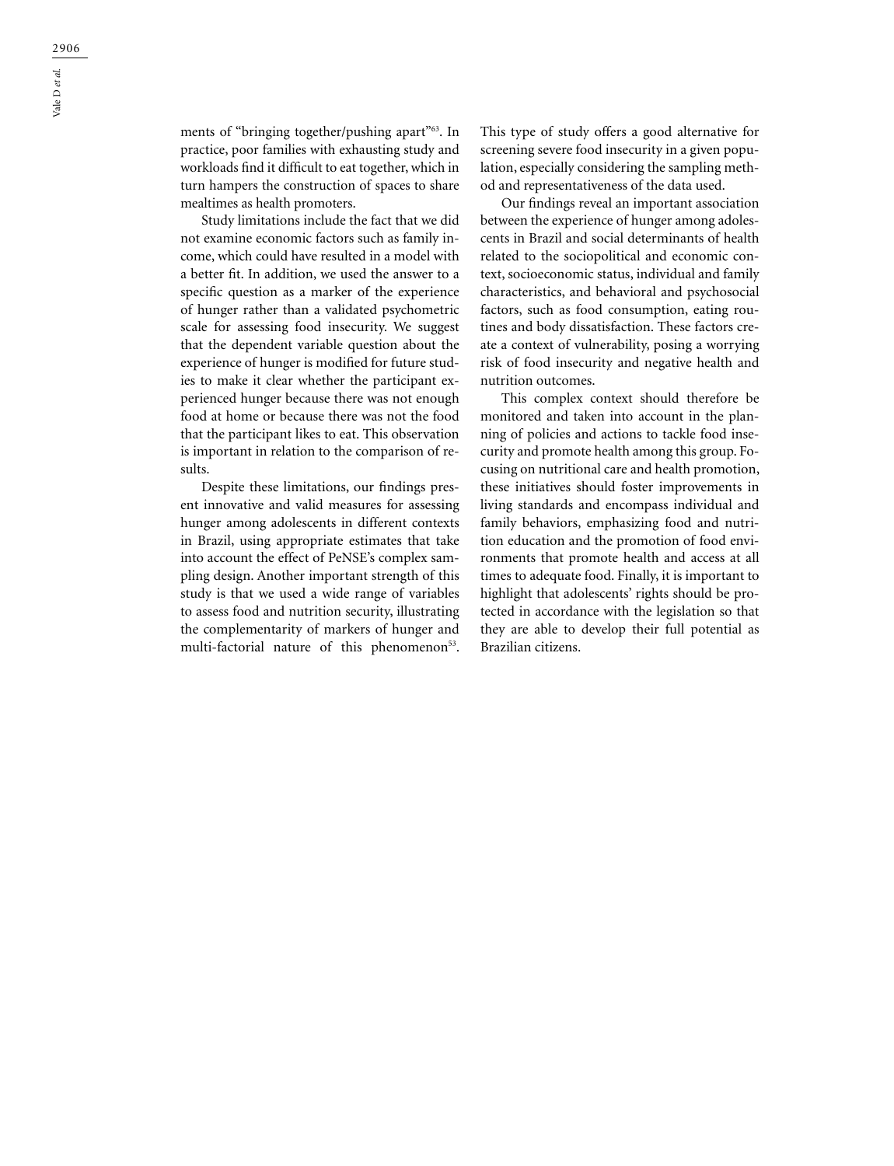ments of "bringing together/pushing apart"<sup>63</sup>. In practice, poor families with exhausting study and workloads find it difficult to eat together, which in turn hampers the construction of spaces to share mealtimes as health promoters.

Study limitations include the fact that we did not examine economic factors such as family income, which could have resulted in a model with a better fit. In addition, we used the answer to a specific question as a marker of the experience of hunger rather than a validated psychometric scale for assessing food insecurity. We suggest that the dependent variable question about the experience of hunger is modified for future studies to make it clear whether the participant experienced hunger because there was not enough food at home or because there was not the food that the participant likes to eat. This observation is important in relation to the comparison of results.

Despite these limitations, our findings present innovative and valid measures for assessing hunger among adolescents in different contexts in Brazil, using appropriate estimates that take into account the effect of PeNSE's complex sampling design. Another important strength of this study is that we used a wide range of variables to assess food and nutrition security, illustrating the complementarity of markers of hunger and multi-factorial nature of this phenomenon<sup>53</sup>.

This type of study offers a good alternative for screening severe food insecurity in a given population, especially considering the sampling method and representativeness of the data used.

Our findings reveal an important association between the experience of hunger among adolescents in Brazil and social determinants of health related to the sociopolitical and economic context, socioeconomic status, individual and family characteristics, and behavioral and psychosocial factors, such as food consumption, eating routines and body dissatisfaction. These factors create a context of vulnerability, posing a worrying risk of food insecurity and negative health and nutrition outcomes.

This complex context should therefore be monitored and taken into account in the planning of policies and actions to tackle food insecurity and promote health among this group. Focusing on nutritional care and health promotion, these initiatives should foster improvements in living standards and encompass individual and family behaviors, emphasizing food and nutrition education and the promotion of food environments that promote health and access at all times to adequate food. Finally, it is important to highlight that adolescents' rights should be protected in accordance with the legislation so that they are able to develop their full potential as Brazilian citizens.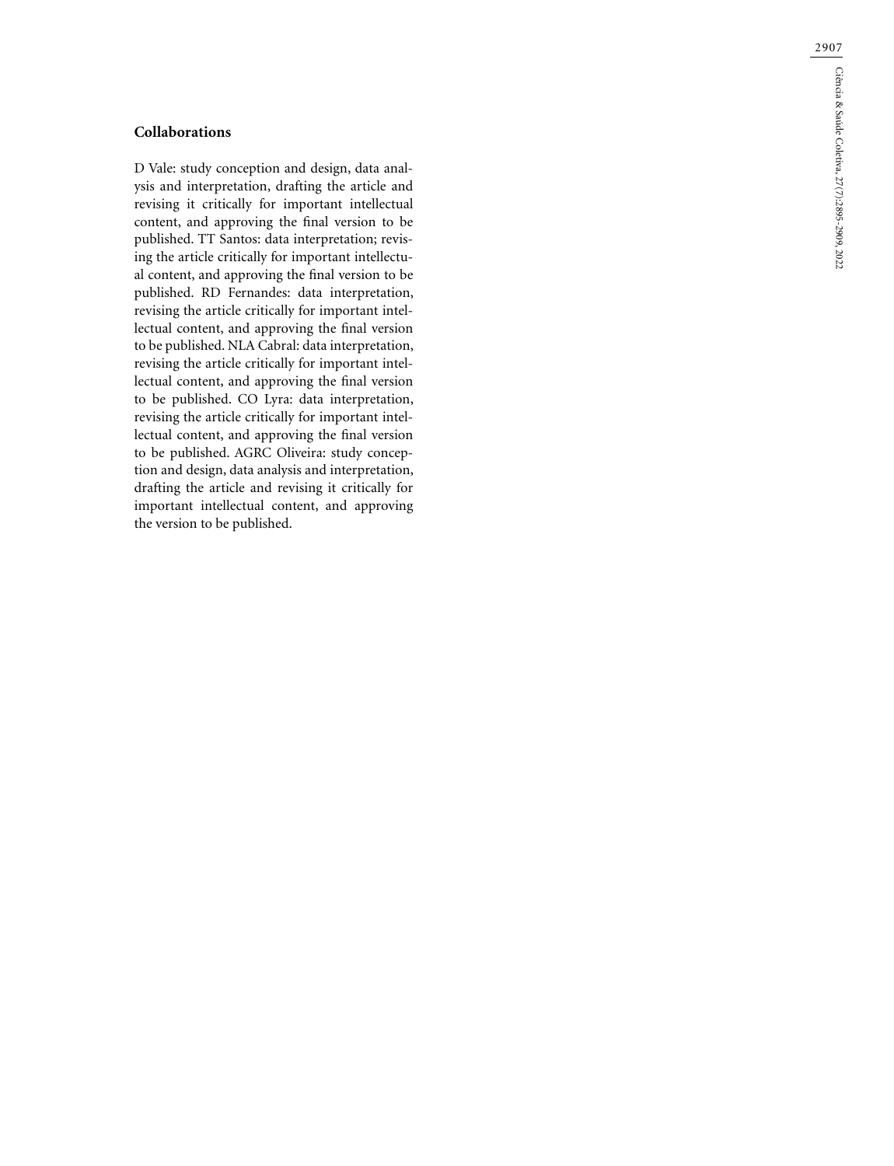# **Collaborations**

D Vale: study conception and design, data anal ysis and interpretation, drafting the article and revising it critically for important intellectual content, and approving the final version to be published. TT Santos: data interpretation; revis ing the article critically for important intellectu al content, and approving the final version to be published. RD Fernandes: data interpretation, revising the article critically for important intel lectual content, and approving the final version to be published. NLA Cabral: data interpretation, revising the article critically for important intel lectual content, and approving the final version to be published. CO Lyra: data interpretation, revising the article critically for important intel lectual content, and approving the final version to be published. AGRC Oliveira: study concep tion and design, data analysis and interpretation, drafting the article and revising it critically for important intellectual content, and approving the version to be published.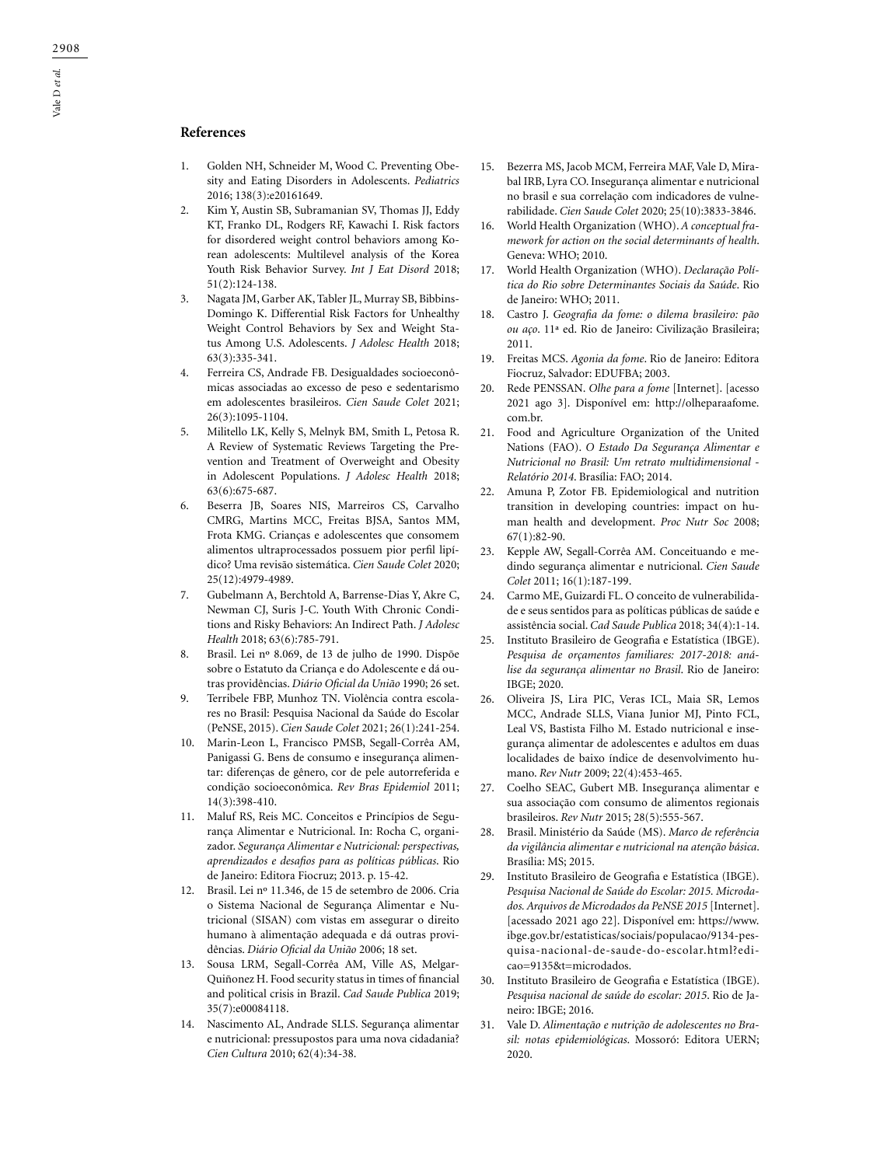## **References**

- 1. Golden NH, Schneider M, Wood C. Preventing Obesity and Eating Disorders in Adolescents. *Pediatrics* 2016; 138(3):e20161649.
- 2. Kim Y, Austin SB, Subramanian SV, Thomas JJ, Eddy KT, Franko DL, Rodgers RF, Kawachi I. Risk factors for disordered weight control behaviors among Korean adolescents: Multilevel analysis of the Korea Youth Risk Behavior Survey. *Int J Eat Disord* 2018; 51(2):124-138.
- 3. Nagata JM, Garber AK, Tabler JL, Murray SB, Bibbins-Domingo K. Differential Risk Factors for Unhealthy Weight Control Behaviors by Sex and Weight Status Among U.S. Adolescents. *J Adolesc Health* 2018; 63(3):335-341.
- 4. Ferreira CS, Andrade FB. Desigualdades socioeconômicas associadas ao excesso de peso e sedentarismo em adolescentes brasileiros. *Cien Saude Colet* 2021; 26(3):1095-1104.
- 5. Militello LK, Kelly S, Melnyk BM, Smith L, Petosa R. A Review of Systematic Reviews Targeting the Prevention and Treatment of Overweight and Obesity in Adolescent Populations. *J Adolesc Health* 2018; 63(6):675-687.
- 6. Beserra JB, Soares NIS, Marreiros CS, Carvalho CMRG, Martins MCC, Freitas BJSA, Santos MM, Frota KMG. Crianças e adolescentes que consomem alimentos ultraprocessados possuem pior perfil lipídico? Uma revisão sistemática. *Cien Saude Colet* 2020; 25(12):4979-4989.
- 7. Gubelmann A, Berchtold A, Barrense-Dias Y, Akre C, Newman CJ, Suris J-C. Youth With Chronic Conditions and Risky Behaviors: An Indirect Path. *J Adolesc Health* 2018; 63(6):785-791.
- 8. Brasil. Lei nº 8.069, de 13 de julho de 1990. Dispõe sobre o Estatuto da Criança e do Adolescente e dá outras providências. *Diário Oficial da União* 1990; 26 set.
- 9. Terribele FBP, Munhoz TN. Violência contra escolares no Brasil: Pesquisa Nacional da Saúde do Escolar (PeNSE, 2015). *Cien Saude Colet* 2021; 26(1):241-254.
- 10. Marin-Leon L, Francisco PMSB, Segall-Corrêa AM, Panigassi G. Bens de consumo e insegurança alimentar: diferenças de gênero, cor de pele autorreferida e condição socioeconômica. *Rev Bras Epidemiol* 2011; 14(3):398-410.
- 11. Maluf RS, Reis MC. Conceitos e Princípios de Segurança Alimentar e Nutricional. In: Rocha C, organizador. *Segurança Alimentar e Nutricional: perspectivas, aprendizados e desafios para as políticas públicas*. Rio de Janeiro: Editora Fiocruz; 2013. p. 15-42.
- 12. Brasil. Lei nº 11.346, de 15 de setembro de 2006. Cria o Sistema Nacional de Segurança Alimentar e Nutricional (SISAN) com vistas em assegurar o direito humano à alimentação adequada e dá outras providências. *Diário Oficial da União* 2006; 18 set.
- 13. Sousa LRM, Segall-Corrêa AM, Ville AS, Melgar-Quiñonez H. Food security status in times of financial and political crisis in Brazil. *Cad Saude Publica* 2019; 35(7):e00084118.
- 14. Nascimento AL, Andrade SLLS. Segurança alimentar e nutricional: pressupostos para uma nova cidadania? *Cien Cultura* 2010; 62(4):34-38.
- 15. Bezerra MS, Jacob MCM, Ferreira MAF, Vale D, Mirabal IRB, Lyra CO. Insegurança alimentar e nutricional no brasil e sua correlação com indicadores de vulnerabilidade. *Cien Saude Colet* 2020; 25(10):3833-3846.
- 16. World Health Organization (WHO). *A conceptual framework for action on the social determinants of health*. Geneva: WHO; 2010.
- 17. World Health Organization (WHO). *Declaração Política do Rio sobre Determinantes Sociais da Saúde*. Rio de Janeiro: WHO; 2011.
- 18. Castro J. *Geografia da fome: o dilema brasileiro: pão ou aço*. 11ª ed. Rio de Janeiro: Civilização Brasileira; 2011.
- 19. Freitas MCS. *Agonia da fome*. Rio de Janeiro: Editora Fiocruz, Salvador: EDUFBA; 2003.
- 20. Rede PENSSAN. *Olhe para a fome* [Internet]. [acesso 2021 ago 3]. Disponível em: http://olheparaafome. com.br.
- 21. Food and Agriculture Organization of the United Nations (FAO). *O Estado Da Segurança Alimentar e Nutricional no Brasil: Um retrato multidimensional - Relatório 2014*. Brasília: FAO; 2014.
- 22. Amuna P, Zotor FB. Epidemiological and nutrition transition in developing countries: impact on human health and development. *Proc Nutr Soc* 2008; 67(1):82-90.
- 23. Kepple AW, Segall-Corrêa AM. Conceituando e medindo segurança alimentar e nutricional. *Cien Saude Colet* 2011; 16(1):187-199.
- 24. Carmo ME, Guizardi FL. O conceito de vulnerabilidade e seus sentidos para as políticas públicas de saúde e assistência social. *Cad Saude Publica* 2018; 34(4):1-14.
- 25. Instituto Brasileiro de Geografia e Estatística (IBGE). *Pesquisa de orçamentos familiares: 2017-2018: análise da segurança alimentar no Brasil*. Rio de Janeiro: IBGE; 2020.
- 26. Oliveira JS, Lira PIC, Veras ICL, Maia SR, Lemos MCC, Andrade SLLS, Viana Junior MJ, Pinto FCL, Leal VS, Bastista Filho M. Estado nutricional e insegurança alimentar de adolescentes e adultos em duas localidades de baixo índice de desenvolvimento humano. *Rev Nutr* 2009; 22(4):453-465.
- 27. Coelho SEAC, Gubert MB. Insegurança alimentar e sua associação com consumo de alimentos regionais brasileiros. *Rev Nutr* 2015; 28(5):555-567.
- 28. Brasil. Ministério da Saúde (MS). *Marco de referência da vigilância alimentar e nutricional na atenção básica*. Brasília: MS; 2015.
- 29. Instituto Brasileiro de Geografia e Estatística (IBGE). *Pesquisa Nacional de Saúde do Escolar: 2015. Microdados. Arquivos de Microdados da PeNSE 2015* [Internet]. [acessado 2021 ago 22]. Disponível em: https://www. ibge.gov.br/estatisticas/sociais/populacao/9134-pesquisa-nacional-de-saude-do-escolar.html?edicao=9135&t=microdados.
- 30. Instituto Brasileiro de Geografia e Estatística (IBGE). *Pesquisa nacional de saúde do escolar: 2015*. Rio de Janeiro: IBGE; 2016.
- 31. Vale D. *Alimentação e nutrição de adolescentes no Brasil: notas epidemiológicas*. Mossoró: Editora UERN; 2020.